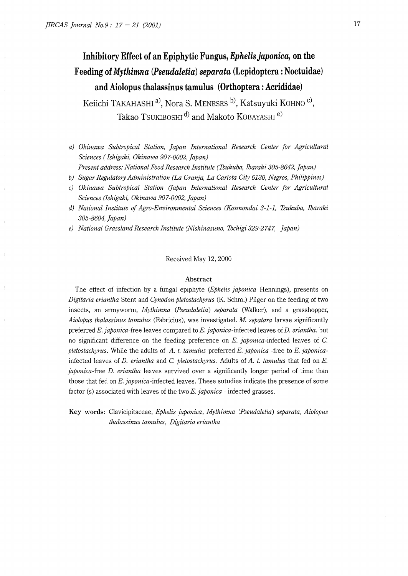# **Inhibitory Effect of an Epiphytic Fungus,** *Ephelis japonica,* **on the Feeding of** *Mythimna (Pseudaletia) separata* **(Lepidoptera: Noctuidae) and Aiolopus thalassinus tamulus (Orthoptera: Acrididae)**

Keiichi TAKAHASHI<sup>a)</sup>, Nora S. MENESES <sup>b)</sup>, Katsuyuki KOHNO<sup>C</sup>, Takao TSUKIBOSHI<sup>d)</sup> and Makoto KOBAYASHI<sup>e)</sup>

- *a) Okinawa Subtropical Station, japan International Research Center for Agricultural Sciences ( Ishigaki, Okinawa 907-0002, Japan)*
- *Present address: National Food Research Institute (Tsukuba, Ibaraki 305-8642, Japan)*
- *b) Sugar Regulatory Administration (La Granja, La Carlota City 6130, Negros, Philippines)*
- *c) Okinawa Subtropical Station (japan International Research Center for Agricultural Sciences (Ishigaki, Okinawa 907-0002, japan)*
- *d) National Institute of Agro-Environmental Sciences (Kannondai 3-1-1, Tsukuba, Ibaraki 305-8604, japan)*
- *e) National Grassland Research Institute (Nishinasuno, Tochigi 329-2747, japan)*

### Received May 12, 2000

### **Abstract**

The effect of infection by a fungal epiphyte *(Ephelis japonica* Hennings), presents on *Digitaria eriantha* Stent and *Cynodon pletostachyrus* (K. Schm.) Pilger on the feeding of two insects, an armyworm, *Mythimna (Pseudaletia) separata* (Walker), and a grasshopper, *Aiolopus thalassinus tamulus* (Fabricius), was investigated. *M. sepatara* larvae significantly preferred *E. japonica-free* leaves compared to *E. japonica-infected* leaves of *D. eriantha,* but no significant difference on the feeding preference on *E. japonica-infected* leaves of C. *pletostachyrus.* While the adults of *A. t. tamulus* preferred *E. japonica* -free to *E. japonica*infected leaves of *D. eriantha* and C. *pletostachyrus.* Adults of *A. t. tamulus* that fed on *E. japonica-free D. eriantha* leaves survived over a significantly longer period of time than those that fed on *E. japonica-infected* leaves. These sutudies indicate the presence of some factor (s) associated with leaves of the two *E. japonica* - infected grasses.

**Key words:** Clavicipitaceae, *Ephelis japonica, Mythimna (Pseudaletia) separata, Aiolopus thalassinus tamulus, Digitaria eriantha*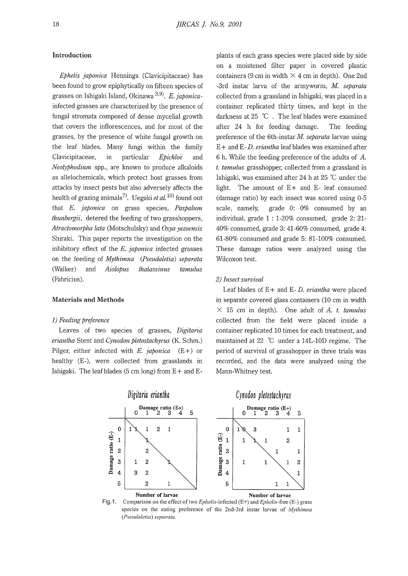### **Introduction**

*Ephelis japonica* Hennings (Clavicipitaceae) has been found to grow epiphytically on fifteen species of grasses on Ishigaki Island, Okinawa 3, <sup>9</sup>l. *E. japonica*infected grasses are characterized by the presence of fungal stromata composed of dense mycelial growth that covers the inflorescences, and for most of the grasses, by the presence of white fungal growth on the leaf blades. Many fungi within the family Clavicipitaceae, m particular *Epichloe* and *Neotyphodium* spp., are known to produce alkaloids as allelochemicals, which protect host grasses from attacks by insect pests but also adversely affects the health of grazing animals<sup>7</sup>. Uegaki *et al*, <sup>10)</sup> found out that *E. japonica* on grass species, *Paspalum thunbergii,* detered the feeding of two grasshoppers, *Atractomorpha lata* (Motschulsky) and *Oxya yezoensis*  Shiraki. This paper reports the investigation on the inhibitory effect of the *E. japonica* infected grasses on the feeding of *Mythimna (Pseudaletia) separata*  (Walker) and *Aiolopus thalassinus tamulus*  (Fabricius).

## **Materials and Methods**

### 1) *Feeding preference*

Leaves of two species of grasses, *Digitaria eriantha* Stent and *Cynodon pletostachyrus* (K. Schm.) Pilger, either infected with *E. japonica* (E+) or healthy (E-), were collected from grasslands in Ishigaki. The leaf blades (5 cm long) from  $E +$  and  $E$ - plants of each grass species were placed side by side on a moistened filter paper in covered plastic containers (9 cm in width  $\times$  4 cm in depth). One 2nd -3rd instar larva of the armyworm, *M separata*  collected from a grassland in Ishigaki, was placed in a container replicated thirty times, and kept in the darkness at 25 °C . The leaf blades were examined after 24 h for feeding damage. The feeding preference of the 6th-instar *M. separata* larvae using E + and E- *D. eriantha* leaf blades was examined after 6 h. While the feeding preference of the adults of A. *t. tamulus* grasshopper, collected from a grassland in Ishigaki, was examined after 24 h at 25 °C under the light. The amount of E+ and E- leaf consumed (damage ratio) by each insect was scored using 0-5 scale, namely, grade 0: 0% consumed by an individual, grade 1 : 1-20% consumed, grade 2: 21- 40% consumed, grade 3: 41-60% consumed, grade 4: 61-80% consumed and grade 5: 81-100% consumed. These damage ratios were analyzed using the Wilcoxon test.

### 2) *Insect survival*

Leaf blades of E + and E- *D. eriantha* were placed in separate covered glass containers (10 cm in width  $\times$  15 cm in depth). One adult of *A. t. tamulus* collected from the field were placed inside a container replicated 10 times for each treatment, and maintained at 22 °C under a 14L-10D regime. The period of survival of grasshopper in three trials was recorded, and the data were analyzed using the Mann-Whitney test.



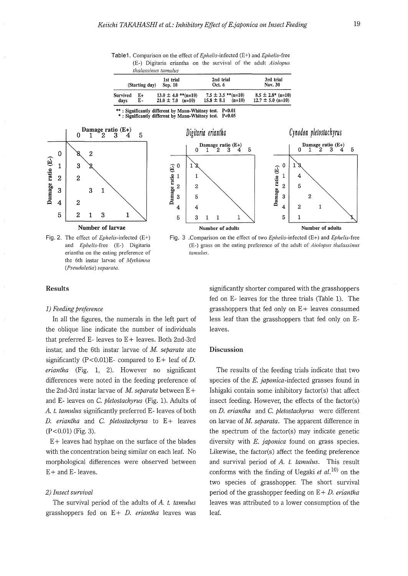Table1. Comparison on the effect of Ephe/is-infected (E+) and *Ephelis-free*  (E-) Digitaria eriantha on the survival of the adult *Aiolopus thalassinus tamullls* 

|                  | (Starting day) | 1st trial<br>Sep. 10                             | 2nd trial<br>Oct. 6                                  | 3rd trial<br>Nov. 30                            |
|------------------|----------------|--------------------------------------------------|------------------------------------------------------|-------------------------------------------------|
| Survived<br>days | E+<br>Е-       | $13.0 \pm 4.0$ **(n=10)<br>$21.0 \pm 7.0$ (n=10) | $7.5 \pm 3.5$ **(n=10)<br>$15.8 \pm 8.1$<br>$(n=10)$ | $8.5 \pm 2.8^*$ (n=10)<br>$12.7 \pm 5.0$ (n=10) |

\*\* : Significantly different by Mann· Whitney test. P<0.01 \* : Significantly different by Mann-Whitney test. P<0.05



Fig. 2. The effect of *Ephe/is-infected* (E+) and *Ephelis-free* (E-) Digitaria eriantha on the eating preference of the 6th instar larvae of *Mythimna (Psel/da!etia) separata.* 



Fig. 3 .Comparison on the effect of two Ephe/is-infected (E+) and *Ephelis-free*  (E-) grass on the eating preference of the adult of *Aiolopus thalassinus tamulus.* 

### **Results**

### *1) Feeding preference*

In all the figures, the numerals in the left part of the oblique line indicate the number of individuals that preferred E- leaves to E+ leaves. Both 2nd-3rd instar, and the 6th instar larvae of M. *separata* ate significantly (P<0.01)E- compared to E+ leaf of D. *eriantha* (Fig. 1, 2). However no significant differences were noted in the feeding preference of the 2nd-3rd instar larvae of M. separata between E+ and E- leaves on C. *pletostachyrus* (Fig. 1). Adults of *A. t. tamulus* significantly preferred E- leaves of both D. *eriantha* and C. *pletostachyrus* to E+ leaves (P<0.01) (Fig. 3).

 $E +$  leaves had hyphae on the surface of the blades with the concentration being similar on each leaf. No morphological differences were observed between E+ and E- leaves.

### *2) Insect survival*

The survival period of the adults of *A. t. tamulus*  grasshoppers fed on E+ *D. eriantha* leaves was significantly shorter compared with the grasshoppers fed on E- leaves for the three trials (Table 1). The grasshoppers that fed only on  $E+$  leaves consumed less leaf than the grasshoppers that fed only on Eleaves.

### **Discussion**

The results of the feeding trials indicate that two species of the *E. japonica-infected* grasses found in Ishigaki contain some inhibitory factor(s) that affect insect feeding. However, the effects of the factor(s) on D. *eriantha* and C. *pletostachyrus* were different on larvae of M. *separata.* The apparent difference in the spectrum of the factor(s) may indicate genetic diversity with *E. japonica* found on grass species. Likewise, the factor(s) affect the feeding preference and survival period of *A. t. tamulus.* This result conforms with the finding of Uegaki *et al.*<sup>10</sup> on the two species of grasshopper. The short survival period of the grasshopper feeding on E + *D. eriantha*  leaves was attributed to a lower consumption of the leaf.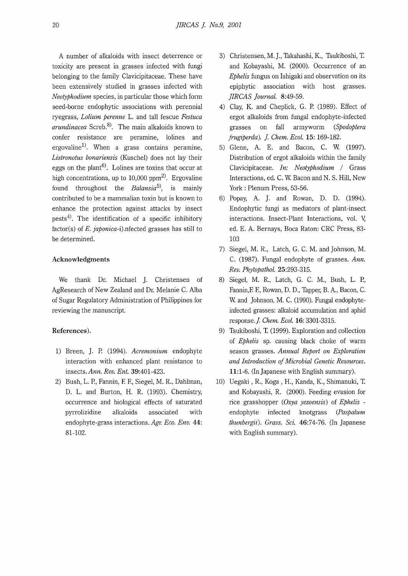A number of alkaloids with insect deterrence or toxicity are present in grasses infected with fungi belonging to the family Clavicipitaceae. These have been extensively studied in grasses infected with *Neotyphodium* species, in particular those which form seed-borne endophytic associations with perennial ryegrass, *Lolium perenne* L. and tall fescue *Festuca arundinacea* Screb.<sup>8</sup> ). The main alkaloids known to confer resistance are peramine, lolines and ergovaline<sup>1)</sup>. When a grass contains peramine, *Listronotus bonariensis* (Kuschel) does not lay their eggs on the plant<sup>6)</sup>. Lolines are toxins that occur at high concentrations, up to  $10,000$  ppm<sup>2)</sup>. Ergovaline found throughout the *Balansia5),* is mainly contributed to be a mammalian toxin but is known to enhance the protection against attacks by insect pests<sup>4)</sup>. The identification of a specific inhibitory factor(s) of *E. japonica-i).nfected* grasses has still to be determined.

### **Acknowledgments**

We thank Dr. Michael J. Christensen of AgResearch of New Zealand and Dr. Melanie C. Alba of Sugar Regulatory Administration of Philippines for reviewing the manuscript.

# **References).**

- 1) Breen, J. P. (1994). *Acremonium* endophyte interaction with enhanced plant resistance to insects.Ann. *Rev. Ent.* 39:401-423.
- 2) Bush, L. P., Fannin, F. F., Siegel, M. R., Dahlman, D. L. and Burton, H. R. (1993). Chemistry, occurrence and biological effects of saturated pyrrolizidine alkaloids associated with endophyte-grass interactions. *Agr. Eco. Env.* **44:**  81-102.
- 3) Christensen, M. *].,* Takahashi, K., Tsukiboshi, T. and Kobayashi, M. (2000). Occurrence of an *Ephelis* fungus on Ishigaki and observation on its epiphytic association with host grasses. *]IRCAS Journal.* 8:49-59.
- 4) Clay, K. and Cheplick, G. P. (1989). Effect of ergot alkaloids from fungal endophyte-infected grasses on fall armyworm *(Spodoptera frugiperda). ]. Chem. Ecol.* **15:** 169-182.
- 5) Glenn, A. E. and Bacon, C. W. (1997). Distribution of ergot alkaloids within the family Clavicipitaceae. *In: Neotyphodium* / Grass Interactions, ed. C. W. Bacon and N. S. Hill, New York : Plenum Press, 53-56.
- 6) Popay, A. J. and Rowan, D. D. (1994). Endophytic fungi as mediators of plant-insect interactions. Insect-Plant Interactions, vol. V, ed. E. A. Bernays, Boca Raton: CRC Press, 83- 103
- 7) Siegel, M. R., Latch, G. C. M. and Johnson, M. C. (1987). Fungal endophyte of grasses. *Ann. Rev. Phytopathol.* 25:293-315.
- 8) Siegel, M. R., Latch, G. C. M., Bush, L. P., Fannin,F. F., Rowan, D. D., Tapper, B. A., Bacon, C. W. and Johnson, M. C. (1990). Fungal endophyteinfected grasses: alkaloid accumulation and aphid response.]. *Chem. Ecol.* **16:** 3301-3315.
- 9) Tsukiboshi, T. (1999). Exploration and collection of *Ephelis* sp. causing black choke of warm season grasses. *Annual Report on Exploration and Introduction of Microbial Genetic Resources.*  **11:1-6.** (In Japanese with English summary).
- 10) Uegaki , R., Koga , H., Kanda, K., Shimanuki, T. and Kobayashi, R. (2000). Feeding evasion for rice grasshopper ( *Oxya yezoensis)* of *Ephelis*  endophyte infected knotgrass *(Paspalum thunbergii). Grass. Sci.* 46:74-76. (In Japanese with English summary).